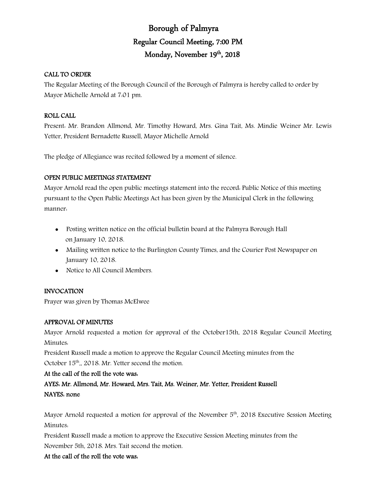# Borough of Palmyra Regular Council Meeting, 7:00 PM Monday, November 19th, 2018

# CALL TO ORDER

The Regular Meeting of the Borough Council of the Borough of Palmyra is hereby called to order by Mayor Michelle Arnold at 7:01 pm.

# ROLL CALL

Present: Mr. Brandon Allmond, Mr. Timothy Howard, Mrs. Gina Tait, Ms. Mindie Weiner Mr. Lewis Yetter, President Bernadette Russell, Mayor Michelle Arnold

The pledge of Allegiance was recited followed by a moment of silence.

# OPEN PUBLIC MEETINGS STATEMENT

Mayor Arnold read the open public meetings statement into the record: Public Notice of this meeting pursuant to the Open Public Meetings Act has been given by the Municipal Clerk in the following manner:

- Posting written notice on the official bulletin board at the Palmyra Borough Hall on January 10, 2018.
- Mailing written notice to the Burlington County Times, and the Courier Post Newspaper on January 10, 2018.
- Notice to All Council Members.

# INVOCATION

Prayer was given by Thomas McElwee

# APPROVAL OF MINUTES

Mayor Arnold requested a motion for approval of the October15th, 2018 Regular Council Meeting Minutes:

President Russell made a motion to approve the Regular Council Meeting minutes from the October  $15<sup>th</sup>$ , 2018. Mr. Yetter second the motion.

## At the call of the roll the vote was:

AYES: Mr. Allmond, Mr. Howard, Mrs. Tait, Ms. Weiner, Mr. Yetter, President Russell NAYES: none

Mayor Arnold requested a motion for approval of the November  $5<sup>th</sup>$ , 2018 Executive Session Meeting Minutes:

President Russell made a motion to approve the Executive Session Meeting minutes from the November 5th, 2018. Mrs. Tait second the motion.

# At the call of the roll the vote was: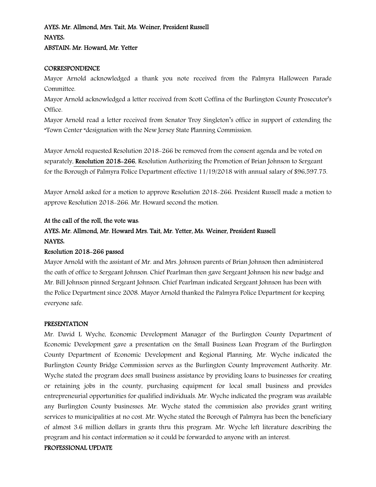# AYES: Mr. Allmond, Mrs. Tait, Ms. Weiner, President Russell NAYES: ABSTAIN: Mr. Howard, Mr. Yetter

#### **CORRESPONDENCE**

Mayor Arnold acknowledged a thank you note received from the Palmyra Halloween Parade Committee.

Mayor Arnold acknowledged a letter received from Scott Coffina of the Burlington County Prosecutor's Office.

Mayor Arnold read a letter received from Senator Troy Singleton's office in support of extending the "Town Center "designation with the New Jersey State Planning Commission.

Mayor Arnold requested Resolution 2018-266 be removed from the consent agenda and be voted on separately, Resolution 2018–266, Resolution Authorizing the Promotion of Brian Johnson to Sergeant for the Borough of Palmyra Police Department effective 11/19/2018 with annual salary of \$96,597.75.

Mayor Arnold asked for a motion to approve Resolution 2018-266. President Russell made a motion to approve Resolution 2018-266. Mr. Howard second the motion.

#### At the call of the roll, the vote was:

# AYES: Mr. Allmond, Mr. Howard Mrs. Tait, Mr. Yetter, Ms. Weiner, President Russell NAYES:

#### Resolution 2018-266 passed

Mayor Arnold with the assistant of Mr. and Mrs. Johnson parents of Brian Johnson then administered the oath of office to Sergeant Johnson. Chief Pearlman then gave Sergeant Johnson his new badge and Mr. Bill Johnson pinned Sergeant Johnson. Chief Pearlman indicated Sergeant Johnson has been with the Police Department since 2008. Mayor Arnold thanked the Palmyra Police Department for keeping everyone safe.

#### PRESENTATION

Mr. David L Wyche, Economic Development Manager of the Burlington County Department of Economic Development gave a presentation on the Small Business Loan Program of the Burlington County Department of Economic Development and Regional Planning. Mr. Wyche indicated the Burlington County Bridge Commission serves as the Burlington County Improvement Authority. Mr. Wyche stated the program does small business assistance by providing loans to businesses for creating or retaining jobs in the county, purchasing equipment for local small business and provides entrepreneurial opportunities for qualified individuals. Mr. Wyche indicated the program was available any Burlington County businesses. Mr. Wyche stated the commission also provides grant writing services to municipalities at no cost. Mr. Wyche stated the Borough of Palmyra has been the beneficiary of almost 3.6 million dollars in grants thru this program. Mr. Wyche left literature describing the program and his contact information so it could be forwarded to anyone with an interest.

#### PROFESSIONAL UPDATE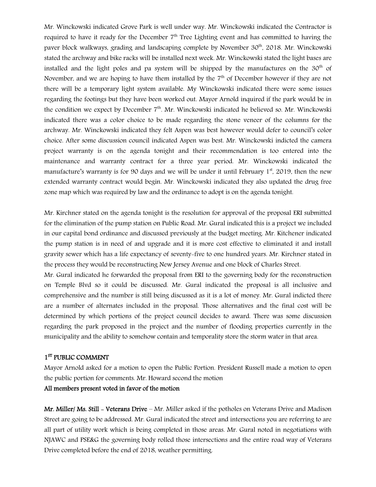Mr. Winckowski indicated Grove Park is well under way. Mr. Winckowski indicated the Contractor is required to have it ready for the December  $7<sup>th</sup>$  Tree Lighting event and has committed to having the paver block walkways, grading and landscaping complete by November 30<sup>th</sup>, 2018. Mr. Winckowski stated the archway and bike racks will be installed next week. Mr. Winckowski stated the light bases are installed and the light poles and pa system will be shipped by the manufactures on the  $30<sup>th</sup>$  of November, and we are hoping to have them installed by the  $7<sup>th</sup>$  of December however if they are not there will be a temporary light system available. My Winckowski indicated there were some issues regarding the footings but they have been worked out. Mayor Arnold inquired if the park would be in the condition we expect by December  $7<sup>th</sup>$ . Mr. Winckowski indicated he believed so. Mr. Winckowski indicated there was a color choice to be made regarding the stone veneer of the columns for the archway. Mr. Winckowski indicated they felt Aspen was best however would defer to council's color choice. After some discussion council indicated Aspen was best. Mr. Winckowski indicted the camera project warranty is on the agenda tonight and their recommendation is too entered into the maintenance and warranty contract for a three year period. Mr. Winckowski indicated the manufacture's warranty is for 90 days and we will be under it until February  $1<sup>st</sup>$ , 2019, then the new extended warranty contract would begin. Mr. Winckowski indicated they also updated the drug free zone map which was required by law and the ordinance to adopt is on the agenda tonight.

Mr. Kirchner stated on the agenda tonight is the resolution for approval of the proposal ERI submitted for the elimination of the pump station on Public Road. Mr. Gural indicated this is a project we included in our capital bond ordinance and discussed previously at the budget meeting. Mr. Kitchener indicated the pump station is in need of and upgrade and it is more cost effective to eliminated it and install gravity sewer which has a life expectancy of seventy-five to one hundred years. Mr. Kirchner stated in the process they would be reconstructing New Jersey Avenue and one block of Charles Street.

Mr. Gural indicated he forwarded the proposal from ERI to the governing body for the reconstruction on Temple Blvd so it could be discussed. Mr. Gural indicated the proposal is all inclusive and comprehensive and the number is still being discussed as it is a lot of money. Mr. Gural indicted there are a number of alternates included in the proposal. Those alternatives and the final cost will be determined by which portions of the project council decides to award. There was some discussion regarding the park proposed in the project and the number of flooding properties currently in the municipality and the ability to somehow contain and temporality store the storm water in that area.

# 1<sup>ST</sup> PUBLIC COMMENT

Mayor Arnold asked for a motion to open the Public Portion. President Russell made a motion to open the public portion for comments. Mr. Howard second the motion

#### All members present voted in favor of the motion

Mr. Miller/ Ms. Still – Veterans Drive – Mr. Miller asked if the potholes on Veterans Drive and Madison Street are going to be addressed. Mr. Gural indicated the street and intersections you are referring to are all part of utility work which is being completed in those areas. Mr. Gural noted in negotiations with NJAWC and PSE&G the governing body rolled those intersections and the entire road way of Veterans Drive completed before the end of 2018, weather permitting.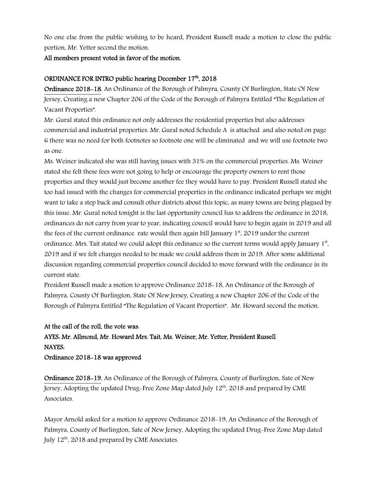No one else from the public wishing to be heard, President Russell made a motion to close the public portion, Mr. Yetter second the motion.

### All members present voted in favor of the motion.

# ORDINANCE FOR INTRO public hearing December 17th, 2018

Ordinance 2018-18, An Ordinance of the Borough of Palmyra, County Of Burlington, State Of New Jersey, Creating a new Chapter 206 of the Code of the Borough of Palmyra Entitled "The Regulation of Vacant Properties".

Mr. Gural stated this ordinance not only addresses the residential properties but also addresses commercial and industrial properties. Mr. Gural noted Schedule A is attached and also noted on page 6 there was no need for both footnotes so footnote one will be eliminated and we will use footnote two as one.

Ms. Weiner indicated she was still having issues with 31% on the commercial properties. Ms. Weiner stated she felt these fees were not going to help or encourage the property owners to rent those properties and they would just become another fee they would have to pay. President Russell stated she too had issued with the changes for commercial properties in the ordinance indicated perhaps we might want to take a step back and consult other districts about this topic, as many towns are being plagued by this issue. Mr. Gural noted tonight is the last opportunity council has to address the ordinance in 2018, ordinances do not carry from year to year, indicating council would have to begin again in 2019 and all the fees of the current ordinance rate would then again bill January  $1<sup>st</sup>$ , 2019 under the current ordinance. Mrs. Tait stated we could adopt this ordinance so the current terms would apply January  $1^\mathrm{st}$ , 2019 and if we felt changes needed to be made we could address them in 2019. After some additional discussion regarding commercial properties council decided to move forward with the ordinance in its current state.

President Russell made a motion to approve Ordinance 2018-18, An Ordinance of the Borough of Palmyra, County Of Burlington, State Of New Jersey, Creating a new Chapter 206 of the Code of the Borough of Palmyra Entitled "The Regulation of Vacant Properties". Mr. Howard second the motion.

# At the call of the roll, the vote was: AYES: Mr. Allmond, Mr. Howard Mrs. Tait, Ms. Weiner, Mr. Yetter, President Russell NAYES: Ordinance 2018-18 was approved

Ordinance 2018-19, An Ordinance of the Borough of Palmyra, County of Burlington, Sate of New Jersey, Adopting the updated Drug-Free Zone Map dated July  $12<sup>th</sup>$ , 2018 and prepared by CME Associates.

Mayor Arnold asked for a motion to approve Ordinance 2018-19, An Ordinance of the Borough of Palmyra, County of Burlington, Sate of New Jersey, Adopting the updated Drug-Free Zone Map dated July 12<sup>th</sup>, 2018 and prepared by CME Associates.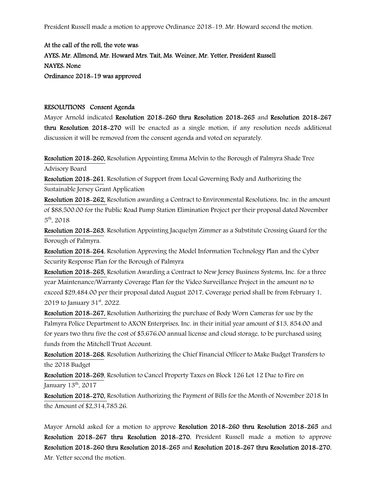President Russell made a motion to approve Ordinance 2018-19. Mr. Howard second the motion.

At the call of the roll, the vote was: AYES: Mr. Allmond, Mr. Howard Mrs. Tait, Ms. Weiner, Mr. Yetter, President Russell NAYES: None Ordinance 2018-19 was approved

#### RESOLUTIONS Consent Agenda

Mayor Arnold indicated Resolution 2018-260 thru Resolution 2018-265 and Resolution 2018-267 thru Resolution 2018-270 will be enacted as a single motion, if any resolution needs additional discussion it will be removed from the consent agenda and voted on separately.

Resolution 2018-260, Resolution Appointing Emma Melvin to the Borough of Palmyra Shade Tree Advisory Board

Resolution 2018-261, Resolution of Support from Local Governing Body and Authorizing the Sustainable Jersey Grant Application

Resolution 2018-262, Resolution awarding a Contract to Environmental Resolutions, Inc. in the amount of \$88,500.00 for the Public Road Pump Station Elimination Project per their proposal dated November 5th, 2018

Resolution 2018-263, Resolution Appointing Jacquelyn Zimmer as a Substitute Crossing Guard for the Borough of Palmyra.

Resolution 2018-264, Resolution Approving the Model Information Technology Plan and the Cyber Security Response Plan for the Borough of Palmyra

Resolution 2018-265, Resolution Awarding a Contract to New Jersey Business Systems, Inc. for a three year Maintenance/Warranty Coverage Plan for the Video Surveillance Project in the amount no to exceed \$29,484.00 per their proposal dated August 2017, Coverage period shall be from February 1, 2019 to January 31<sup>st</sup>, 2022.

Resolution 2018-267, Resolution Authorizing the purchase of Body Worn Cameras for use by the Palmyra Police Department to AXON Enterprises, Inc. in their initial year amount of \$13, 854.00 and for years two thru five the cost of \$5,676.00 annual license and cloud storage, to be purchased using funds from the Mitchell Trust Account.

Resolution 2018-268, Resolution Authorizing the Chief Financial Officer to Make Budget Transfers to the 2018 Budget

Resolution 2018-269, Resolution to Cancel Property Taxes on Block 126 Lot 12 Due to Fire on January  $13<sup>th</sup>$ , 2017

Resolution 2018-270, Resolution Authorizing the Payment of Bills for the Month of November 2018 In the Amount of \$2,314,785.26.

Mayor Arnold asked for a motion to approve Resolution 2018-260 thru Resolution 2018-265 and Resolution 2018-267 thru Resolution 2018-270. President Russell made a motion to approve Resolution 2018-260 thru Resolution 2018-265 and Resolution 2018-267 thru Resolution 2018-270. Mr. Yetter second the motion.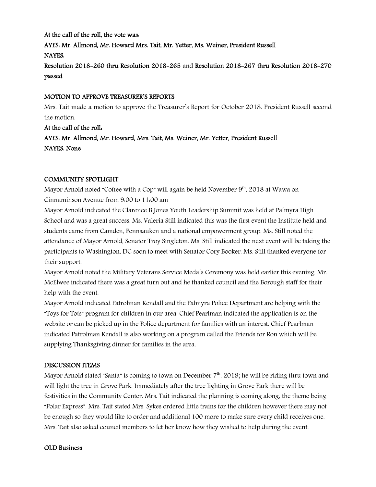## At the call of the roll, the vote was:

AYES: Mr. Allmond, Mr. Howard Mrs. Tait, Mr. Yetter, Ms. Weiner, President Russell NAYES:

Resolution 2018-260 thru Resolution 2018-265 and Resolution 2018-267 thru Resolution 2018-270 passed

## MOTION TO APPROVE TREASURER'S REPORTS

Mrs. Tait made a motion to approve the Treasurer's Report for October 2018. President Russell second the motion.

At the call of the roll: AYES: Mr. Allmond, Mr. Howard, Mrs. Tait, Ms. Weiner, Mr. Yetter, President Russell NAYES: None

### COMMUNITY SPOTLIGHT

Mayor Arnold noted "Coffee with a Cop" will again be held November  $9<sup>th</sup>$ , 2018 at Wawa on Cinnaminson Avenue from 9:00 to 11:00 am

Mayor Arnold indicated the Clarence B Jones Youth Leadership Summit was held at Palmyra High School and was a great success. Ms. Valeria Still indicated this was the first event the Institute held and students came from Camden, Pennsauken and a national empowerment group. Ms. Still noted the attendance of Mayor Arnold, Senator Troy Singleton. Ms. Still indicated the next event will be taking the participants to Washington, DC soon to meet with Senator Cory Booker. Ms. Still thanked everyone for their support.

Mayor Arnold noted the Military Veterans Service Medals Ceremony was held earlier this evening. Mr. McElwee indicated there was a great turn out and he thanked council and the Borough staff for their help with the event.

Mayor Arnold indicated Patrolman Kendall and the Palmyra Police Department are helping with the "Toys for Tots" program for children in our area. Chief Pearlman indicated the application is on the website or can be picked up in the Police department for families with an interest. Chief Pearlman indicated Patrolman Kendall is also working on a program called the Friends for Ron which will be supplying Thanksgiving dinner for families in the area.

#### DISCUSSION ITEMS

Mayor Arnold stated "Santa" is coming to town on December 7<sup>th</sup>, 2018; he will be riding thru town and will light the tree in Grove Park. Immediately after the tree lighting in Grove Park there will be festivities in the Community Center. Mrs. Tait indicated the planning is coming along, the theme being "Polar Express". Mrs. Tait stated Mrs. Sykes ordered little trains for the children however there may not be enough so they would like to order and additional 100 more to make sure every child receives one. Mrs. Tait also asked council members to let her know how they wished to help during the event.

#### OLD Business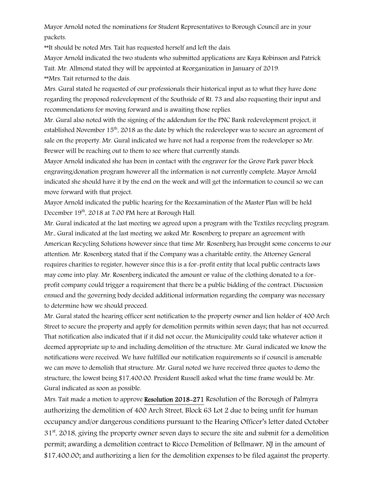Mayor Arnold noted the nominations for Student Representatives to Borough Council are in your packets.

\*\*It should be noted Mrs. Tait has requested herself and left the dais.

Mayor Arnold indicated the two students who submitted applications are Kaya Robinson and Patrick Tait. Mr. Allmond stated they will be appointed at Reorganization in January of 2019.

\*\*Mrs. Tait returned to the dais.

Mrs. Gural stated he requested of our professionals their historical input as to what they have done regarding the proposed redevelopment of the Southside of Rt. 73 and also requesting their input and recommendations for moving forward and is awaiting those replies.

Mr. Gural also noted with the signing of the addendum for the PNC Bank redevelopment project, it established November 15th, 2018 as the date by which the redeveloper was to secure an agreement of sale on the property. Mr. Gural indicated we have not had a response from the redeveloper so Mr. Brewer will be reaching out to them to see where that currently stands.

Mayor Arnold indicated she has been in contact with the engraver for the Grove Park paver block engraving/donation program however all the information is not currently complete. Mayor Arnold indicated she should have it by the end on the week and will get the information to council so we can move forward with that project.

Mayor Arnold indicated the public hearing for the Reexamination of the Master Plan will be held December 19<sup>th</sup>, 2018 at 7:00 PM here at Borough Hall.

Mr. Gural indicated at the last meeting we agreed upon a program with the Textiles recycling program. Mr., Gural indicated at the last meeting we asked Mr. Rosenberg to prepare an agreement with American Recycling Solutions however since that time Mr. Rosenberg has brought some concerns to our attention. Mr. Rosenberg stated that if the Company was a charitable entity, the Attorney General requires charities to register, however since this is a for-profit entity that local public contracts laws may come into play. Mr. Rosenberg indicated the amount or value of the clothing donated to a forprofit company could trigger a requirement that there be a public bidding of the contract. Discussion ensued and the governing body decided additional information regarding the company was necessary to determine how we should proceed.

Mr. Gural stated the hearing officer sent notification to the property owner and lien holder of 400 Arch Street to secure the property and apply for demolition permits within seven days; that has not occurred. That notification also indicated that if it did not occur, the Municipality could take whatever action it deemed appropriate up to and including demolition of the structure. Mr. Gural indicated we know the notifications were received. We have fulfilled our notification requirements so if council is amenable we can move to demolish that structure. Mr. Gural noted we have received three quotes to demo the structure, the lowest being \$17,400.00. President Russell asked what the time frame would be. Mr. Gural indicated as soon as possible.

Mrs. Tait made a motion to approve Resolution 2018-271 Resolution of the Borough of Palmyra authorizing the demolition of 400 Arch Street, Block 63 Lot 2 due to being unfit for human occupancy and/or dangerous conditions pursuant to the Hearing Officer's letter dated October  $31<sup>st</sup>$ , 2018, giving the property owner seven days to secure the site and submit for a demolition permit; awarding a demolition contract to Ricco Demolition of Bellmawr, NJ in the amount of \$17,400.00; and authorizing a lien for the demolition expenses to be filed against the property.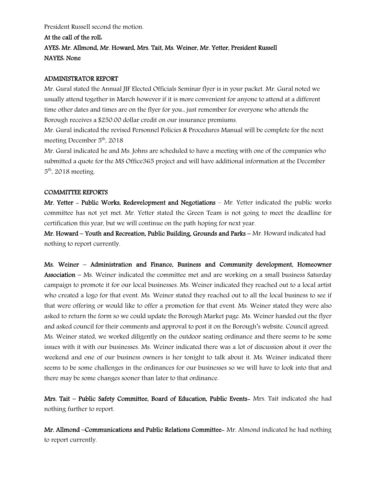President Russell second the motion.

#### At the call of the roll:

# AYES: Mr. Allmond, Mr. Howard, Mrs. Tait, Ms. Weiner, Mr. Yetter, President Russell NAYES: None

### ADMINISTRATOR REPORT

Mr. Gural stated the Annual JIF Elected Officials Seminar flyer is in your packet. Mr. Gural noted we usually attend together in March however if it is more convenient for anyone to attend at a different time other dates and times are on the flyer for you., just remember for everyone who attends the Borough receives a \$250.00 dollar credit on our insurance premiums.

Mr. Gural indicated the revised Personnel Policies & Procedures Manual will be complete for the next meeting December 5<sup>th</sup>, 2018

Mr. Gural indicated he and Ms. Johns are scheduled to have a meeting with one of the companies who submitted a quote for the MS Office365 project and will have additional information at the December  $5<sup>th</sup>$ , 2018 meeting.

#### COMMITTEE REPORTS

Mr. Yetter - Public Works, Redevelopment and Negotiations – Mr. Yetter indicated the public works committee has not yet met. Mr. Yetter stated the Green Team is not going to meet the deadline for certification this year, but we will continue on the path hoping for next year.

Mr. Howard – Youth and Recreation, Public Building, Grounds and Parks – Mr. Howard indicated had nothing to report currently.

Ms. Weiner – Administration and Finance, Business and Community development, Homeowner Association – Ms. Weiner indicated the committee met and are working on a small business Saturday campaign to promote it for our local businesses. Ms. Weiner indicated they reached out to a local artist who created a logo for that event. Ms. Weiner stated they reached out to all the local business to see if that were offering or would like to offer a promotion for that event. Ms. Weiner stated they were also asked to return the form so we could update the Borough Market page. Ms. Weiner handed out the flyer and asked council for their comments and approval to post it on the Borough's website. Council agreed. Ms. Weiner stated, we worked diligently on the outdoor seating ordinance and there seems to be some issues with it with our businesses. Ms. Weiner indicated there was a lot of discussion about it over the weekend and one of our business owners is her tonight to talk about it. Ms. Weiner indicated there seems to be some challenges in the ordinances for our businesses so we will have to look into that and there may be some changes sooner than later to that ordinance.

Mrs. Tait – Public Safety Committee, Board of Education, Public Events- Mrs. Tait indicated she had nothing further to report.

Mr. Allmond –Communications and Public Relations Committee- Mr. Almond indicated he had nothing to report currently.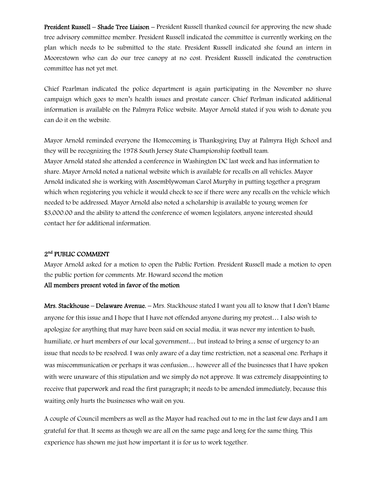President Russell – Shade Tree Liaison – President Russell thanked council for approving the new shade tree advisory committee member. President Russell indicated the committee is currently working on the plan which needs to be submitted to the state. President Russell indicated she found an intern in Moorestown who can do our tree canopy at no cost. President Russell indicated the construction committee has not yet met.

Chief Pearlman indicated the police department is again participating in the November no shave campaign which goes to men's health issues and prostate cancer. Chief Perlman indicated additional information is available on the Palmyra Police website. Mayor Arnold stated if you wish to donate you can do it on the website.

Mayor Arnold reminded everyone the Homecoming is Thanksgiving Day at Palmyra High School and they will be recognizing the 1978 South Jersey State Championship football team. Mayor Arnold stated she attended a conference in Washington DC last week and has information to share. Mayor Arnold noted a national website which is available for recalls on all vehicles. Mayor Arnold indicated she is working with Assemblywoman Carol Murphy in putting together a program which when registering you vehicle it would check to see if there were any recalls on the vehicle which needed to be addressed. Mayor Arnold also noted a scholarship is available to young women for \$3,000.00 and the ability to attend the conference of women legislators, anyone interested should contact her for additional information.

#### 2<sup>nd</sup> PUBLIC COMMENT

Mayor Arnold asked for a motion to open the Public Portion. President Russell made a motion to open the public portion for comments. Mr. Howard second the motion All members present voted in favor of the motion

Mrs. Stackhouse – Delaware Avenue. – Mrs. Stackhouse stated I want you all to know that I don't blame anyone for this issue and I hope that I have not offended anyone during my protest… I also wish to apologize for anything that may have been said on social media, it was never my intention to bash, humiliate, or hurt members of our local government… but instead to bring a sense of urgency to an issue that needs to be resolved. I was only aware of a day time restriction, not a seasonal one. Perhaps it was miscommunication or perhaps it was confusion… however all of the businesses that I have spoken with were unaware of this stipulation and we simply do not approve. It was extremely disappointing to receive that paperwork and read the first paragraph; it needs to be amended immediately, because this waiting only hurts the businesses who wait on you.

A couple of Council members as well as the Mayor had reached out to me in the last few days and I am grateful for that. It seems as though we are all on the same page and long for the same thing. This experience has shown me just how important it is for us to work together.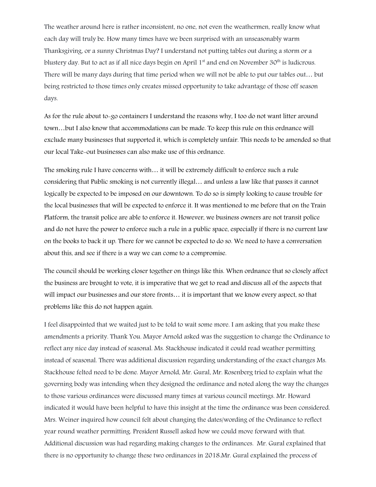The weather around here is rather inconsistent, no one, not even the weathermen, really know what each day will truly be. How many times have we been surprised with an unseasonably warm Thanksgiving, or a sunny Christmas Day? I understand not putting tables out during a storm or a blustery day. But to act as if all nice days begin on April  $1<sup>st</sup>$  and end on November  $30<sup>th</sup>$  is ludicrous. There will be many days during that time period when we will not be able to put our tables out… but being restricted to those times only creates missed opportunity to take advantage of those off season days.

As for the rule about to-go containers I understand the reasons why, I too do not want litter around town…but I also know that accommodations can be made. To keep this rule on this ordnance will exclude many businesses that supported it, which is completely unfair. This needs to be amended so that our local Take-out businesses can also make use of this ordnance.

The smoking rule I have concerns with… it will be extremely difficult to enforce such a rule considering that Public smoking is not currently illegal… and unless a law like that passes it cannot logically be expected to be imposed on our downtown. To do so is simply looking to cause trouble for the local businesses that will be expected to enforce it. It was mentioned to me before that on the Train Platform, the transit police are able to enforce it. However, we business owners are not transit police and do not have the power to enforce such a rule in a public space, especially if there is no current law on the books to back it up. There for we cannot be expected to do so. We need to have a conversation about this, and see if there is a way we can come to a compromise.

The council should be working closer together on things like this. When ordnance that so closely affect the business are brought to vote, it is imperative that we get to read and discuss all of the aspects that will impact our businesses and our store fronts… it is important that we know every aspect, so that problems like this do not happen again.

I feel disappointed that we waited just to be told to wait some more. I am asking that you make these amendments a priority. Thank You. Mayor Arnold asked was the suggestion to change the Ordinance to reflect any nice day instead of seasonal. Ms. Stackhouse indicated it could read weather permitting instead of seasonal. There was additional discussion regarding understanding of the exact changes Ms. Stackhouse felted need to be done. Mayor Arnold, Mr. Gural, Mr. Rosenberg tried to explain what the governing body was intending when they designed the ordinance and noted along the way the changes to those various ordinances were discussed many times at various council meetings. Mr. Howard indicated it would have been helpful to have this insight at the time the ordinance was been considered. Mrs. Weiner inquired how council felt about changing the dates/wording of the Ordinance to reflect year round weather permitting. President Russell asked how we could move forward with that. Additional discussion was had regarding making changes to the ordinances. Mr. Gural explained that there is no opportunity to change these two ordinances in 2018.Mr. Gural explained the process of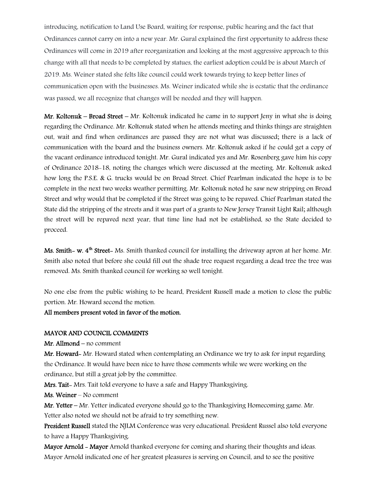introducing, notification to Land Use Board, waiting for response, public hearing and the fact that Ordinances cannot carry on into a new year. Mr. Gural explained the first opportunity to address these Ordinances will come in 2019 after reorganization and looking at the most aggressive approach to this change with all that needs to be completed by statues, the earliest adoption could be is about March of 2019. Ms. Weiner stated she felts like council could work towards trying to keep better lines of communication open with the businesses. Ms. Weiner indicated while she is ecstatic that the ordinance was passed, we all recognize that changes will be needed and they will happen.

Mr. Koltonuk – Broad Street – Mr. Koltonuk indicated he came in to support Jeny in what she is doing regarding the Ordinance. Mr. Koltonuk stated when he attends meeting and thinks things are straighten out, wait and find when ordinances are passed they are not what was discussed; there is a lack of communication with the board and the business owners. Mr. Koltonuk asked if he could get a copy of the vacant ordinance introduced tonight. Mr. Gural indicated yes and Mr. Rosenberg gave him his copy of Ordinance 2018-18, noting the changes which were discussed at the meeting. Mr. Koltonuk asked how long the P.S.E. & G. trucks would be on Broad Street. Chief Pearlman indicated the hope is to be complete in the next two weeks weather permitting. Mr. Koltonuk noted he saw new stripping on Broad Street and why would that be completed if the Street was going to be repaved. Chief Pearlman stated the State did the stripping of the streets and it was part of a grants to New Jersey Transit Light Rail; although the street will be repaved next year, that time line had not be established, so the State decided to proceed.

Ms. Smith- w. 4<sup>th</sup> Street- Ms. Smith thanked council for installing the driveway apron at her home. Mr. Smith also noted that before she could fill out the shade tree request regarding a dead tree the tree was removed. Ms. Smith thanked council for working so well tonight.

No one else from the public wishing to be heard, President Russell made a motion to close the public portion. Mr. Howard second the motion.

#### All members present voted in favor of the motion.

#### MAYOR AND COUNCIL COMMENTS

Mr. Allmond – no comment

Mr. Howard- Mr. Howard stated when contemplating an Ordinance we try to ask for input regarding the Ordinance. It would have been nice to have those comments while we were working on the ordinance, but still a great job by the committee.

Mrs. Tait- Mrs. Tait told everyone to have a safe and Happy Thanksgiving.

Ms. Weiner – No comment

Mr. Yetter – Mr. Yetter indicated everyone should go to the Thanksgiving Homecoming game. Mr. Yetter also noted we should not be afraid to try something new.

President Russell stated the NJLM Conference was very educational. President Russel also told everyone to have a Happy Thanksgiving.

Mayor Arnold - Mayor Arnold thanked everyone for coming and sharing their thoughts and ideas. Mayor Arnold indicated one of her greatest pleasures is serving on Council, and to see the positive